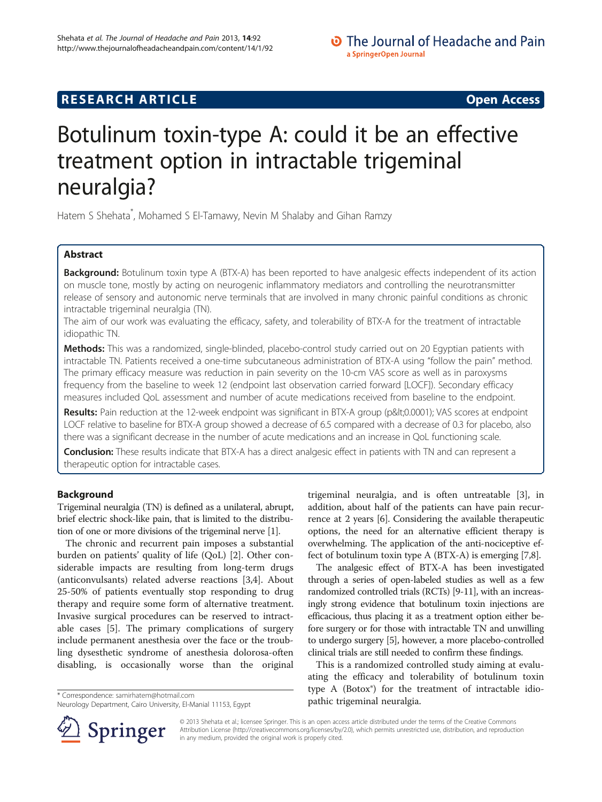# **RESEARCH ARTICLE Example 2014 CONSUMING A RESEARCH ARTICLE**

# Botulinum toxin-type A: could it be an effective treatment option in intractable trigeminal neuralgia?

Hatem S Shehata\* , Mohamed S El-Tamawy, Nevin M Shalaby and Gihan Ramzy

# Abstract

Background: Botulinum toxin type A (BTX-A) has been reported to have analgesic effects independent of its action on muscle tone, mostly by acting on neurogenic inflammatory mediators and controlling the neurotransmitter release of sensory and autonomic nerve terminals that are involved in many chronic painful conditions as chronic intractable trigeminal neuralgia (TN).

The aim of our work was evaluating the efficacy, safety, and tolerability of BTX-A for the treatment of intractable idiopathic TN.

Methods: This was a randomized, single-blinded, placebo-control study carried out on 20 Egyptian patients with intractable TN. Patients received a one-time subcutaneous administration of BTX-A using "follow the pain" method. The primary efficacy measure was reduction in pain severity on the 10-cm VAS score as well as in paroxysms frequency from the baseline to week 12 (endpoint last observation carried forward [LOCF]). Secondary efficacy measures included QoL assessment and number of acute medications received from baseline to the endpoint.

Results: Pain reduction at the 12-week endpoint was significant in BTX-A group (p<0.0001); VAS scores at endpoint LOCF relative to baseline for BTX-A group showed a decrease of 6.5 compared with a decrease of 0.3 for placebo, also there was a significant decrease in the number of acute medications and an increase in QoL functioning scale.

**Conclusion:** These results indicate that BTX-A has a direct analgesic effect in patients with TN and can represent a therapeutic option for intractable cases.

# Background

Trigeminal neuralgia (TN) is defined as a unilateral, abrupt, brief electric shock-like pain, that is limited to the distribution of one or more divisions of the trigeminal nerve [[1](#page-4-0)].

The chronic and recurrent pain imposes a substantial burden on patients' quality of life (QoL) [[2\]](#page-4-0). Other considerable impacts are resulting from long-term drugs (anticonvulsants) related adverse reactions [\[3,4\]](#page-4-0). About 25-50% of patients eventually stop responding to drug therapy and require some form of alternative treatment. Invasive surgical procedures can be reserved to intractable cases [[5\]](#page-4-0). The primary complications of surgery include permanent anesthesia over the face or the troubling dysesthetic syndrome of anesthesia dolorosa-often disabling, is occasionally worse than the original

trigeminal neuralgia, and is often untreatable [\[3](#page-4-0)], in addition, about half of the patients can have pain recurrence at 2 years [\[6\]](#page-4-0). Considering the available therapeutic options, the need for an alternative efficient therapy is overwhelming. The application of the anti-nociceptive effect of botulinum toxin type A (BTX-A) is emerging [[7,8](#page-4-0)].

The analgesic effect of BTX-A has been investigated through a series of open-labeled studies as well as a few randomized controlled trials (RCTs) [[9-11](#page-4-0)], with an increasingly strong evidence that botulinum toxin injections are efficacious, thus placing it as a treatment option either before surgery or for those with intractable TN and unwilling to undergo surgery [\[5](#page-4-0)], however, a more placebo-controlled clinical trials are still needed to confirm these findings.

This is a randomized controlled study aiming at evaluating the efficacy and tolerability of botulinum toxin type A (Botox®) for the treatment of intractable idio\* Correspondence: [samirhatem@hotmail.com](mailto:samirhatem@hotmail.com)<br>Neurology Department, Cairo University, El-Manial 11153, Egypt **and participal participal neuralgia.** 



© 2013 Shehata et al.; licensee Springer. This is an open access article distributed under the terms of the Creative Commons Attribution License [\(http://creativecommons.org/licenses/by/2.0\)](http://creativecommons.org/licenses/by/2.0), which permits unrestricted use, distribution, and reproduction in any medium, provided the original work is properly cited.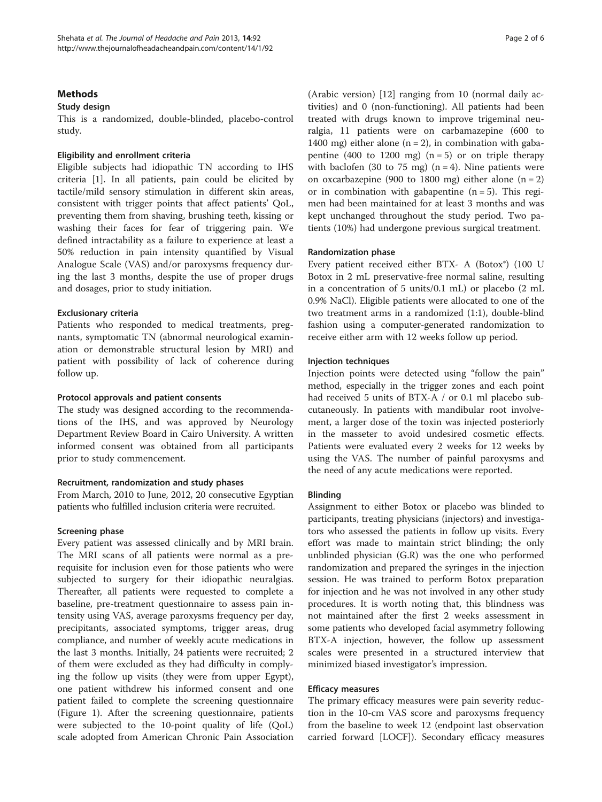# **Methods**

### Study design

This is a randomized, double-blinded, placebo-control study.

#### Eligibility and enrollment criteria

Eligible subjects had idiopathic TN according to IHS criteria [\[1](#page-4-0)]. In all patients, pain could be elicited by tactile/mild sensory stimulation in different skin areas, consistent with trigger points that affect patients' QoL, preventing them from shaving, brushing teeth, kissing or washing their faces for fear of triggering pain. We defined intractability as a failure to experience at least a 50% reduction in pain intensity quantified by Visual Analogue Scale (VAS) and/or paroxysms frequency during the last 3 months, despite the use of proper drugs and dosages, prior to study initiation.

# Exclusionary criteria

Patients who responded to medical treatments, pregnants, symptomatic TN (abnormal neurological examination or demonstrable structural lesion by MRI) and patient with possibility of lack of coherence during follow up.

#### Protocol approvals and patient consents

The study was designed according to the recommendations of the IHS, and was approved by Neurology Department Review Board in Cairo University. A written informed consent was obtained from all participants prior to study commencement.

### Recruitment, randomization and study phases

From March, 2010 to June, 2012, 20 consecutive Egyptian patients who fulfilled inclusion criteria were recruited.

#### Screening phase

Every patient was assessed clinically and by MRI brain. The MRI scans of all patients were normal as a prerequisite for inclusion even for those patients who were subjected to surgery for their idiopathic neuralgias. Thereafter, all patients were requested to complete a baseline, pre-treatment questionnaire to assess pain intensity using VAS, average paroxysms frequency per day, precipitants, associated symptoms, trigger areas, drug compliance, and number of weekly acute medications in the last 3 months. Initially, 24 patients were recruited; 2 of them were excluded as they had difficulty in complying the follow up visits (they were from upper Egypt), one patient withdrew his informed consent and one patient failed to complete the screening questionnaire (Figure [1\)](#page-2-0). After the screening questionnaire, patients were subjected to the 10-point quality of life (QoL) scale adopted from American Chronic Pain Association (Arabic version) [\[12](#page-4-0)] ranging from 10 (normal daily activities) and 0 (non-functioning). All patients had been treated with drugs known to improve trigeminal neuralgia, 11 patients were on carbamazepine (600 to 1400 mg) either alone  $(n = 2)$ , in combination with gabapentine (400 to 1200 mg)  $(n = 5)$  or on triple therapy with baclofen (30 to 75 mg)  $(n = 4)$ . Nine patients were on oxcarbazepine (900 to 1800 mg) either alone  $(n = 2)$ or in combination with gabapentine  $(n = 5)$ . This regimen had been maintained for at least 3 months and was kept unchanged throughout the study period. Two patients (10%) had undergone previous surgical treatment.

#### Randomization phase

Every patient received either BTX- A (Botox®) (100 U Botox in 2 mL preservative-free normal saline, resulting in a concentration of 5 units/0.1 mL) or placebo (2 mL 0.9% NaCl). Eligible patients were allocated to one of the two treatment arms in a randomized (1:1), double-blind fashion using a computer-generated randomization to receive either arm with 12 weeks follow up period.

#### Injection techniques

Injection points were detected using "follow the pain" method, especially in the trigger zones and each point had received 5 units of BTX-A / or 0.1 ml placebo subcutaneously. In patients with mandibular root involvement, a larger dose of the toxin was injected posteriorly in the masseter to avoid undesired cosmetic effects. Patients were evaluated every 2 weeks for 12 weeks by using the VAS. The number of painful paroxysms and the need of any acute medications were reported.

### Blinding

Assignment to either Botox or placebo was blinded to participants, treating physicians (injectors) and investigators who assessed the patients in follow up visits. Every effort was made to maintain strict blinding; the only unblinded physician (G.R) was the one who performed randomization and prepared the syringes in the injection session. He was trained to perform Botox preparation for injection and he was not involved in any other study procedures. It is worth noting that, this blindness was not maintained after the first 2 weeks assessment in some patients who developed facial asymmetry following BTX-A injection, however, the follow up assessment scales were presented in a structured interview that minimized biased investigator's impression.

#### Efficacy measures

The primary efficacy measures were pain severity reduction in the 10-cm VAS score and paroxysms frequency from the baseline to week 12 (endpoint last observation carried forward [LOCF]). Secondary efficacy measures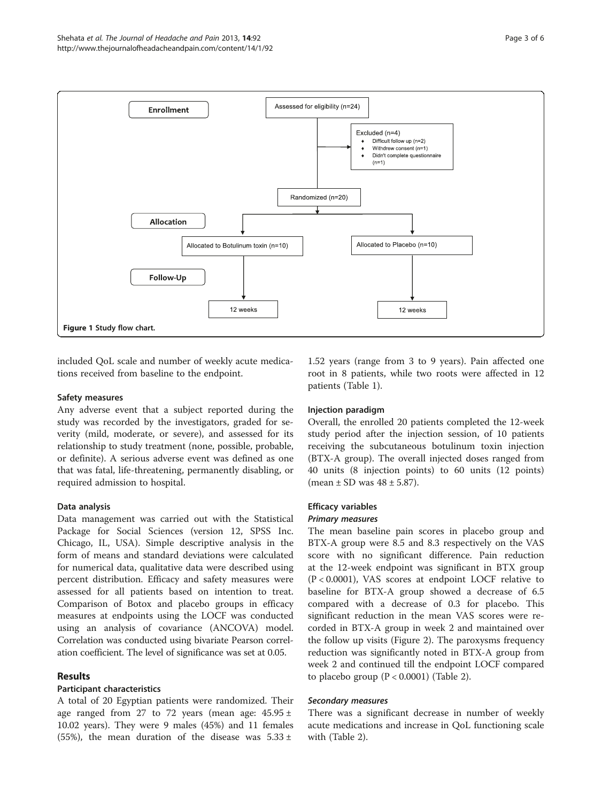<span id="page-2-0"></span>

included QoL scale and number of weekly acute medications received from baseline to the endpoint.

#### Safety measures

Any adverse event that a subject reported during the study was recorded by the investigators, graded for severity (mild, moderate, or severe), and assessed for its relationship to study treatment (none, possible, probable, or definite). A serious adverse event was defined as one that was fatal, life-threatening, permanently disabling, or required admission to hospital.

### Data analysis

Data management was carried out with the Statistical Package for Social Sciences (version 12, SPSS Inc. Chicago, IL, USA). Simple descriptive analysis in the form of means and standard deviations were calculated for numerical data, qualitative data were described using percent distribution. Efficacy and safety measures were assessed for all patients based on intention to treat. Comparison of Botox and placebo groups in efficacy measures at endpoints using the LOCF was conducted using an analysis of covariance (ANCOVA) model. Correlation was conducted using bivariate Pearson correlation coefficient. The level of significance was set at 0.05.

# Results

### Participant characteristics

A total of 20 Egyptian patients were randomized. Their age ranged from 27 to 72 years (mean age:  $45.95 \pm 1$ 10.02 years). They were 9 males (45%) and 11 females (55%), the mean duration of the disease was  $5.33 \pm 1$ 

1.52 years (range from 3 to 9 years). Pain affected one root in 8 patients, while two roots were affected in 12 patients (Table [1](#page-3-0)).

### Injection paradigm

Overall, the enrolled 20 patients completed the 12-week study period after the injection session, of 10 patients receiving the subcutaneous botulinum toxin injection (BTX-A group). The overall injected doses ranged from 40 units (8 injection points) to 60 units (12 points) (mean  $\pm$  SD was  $48 \pm 5.87$ ).

#### Efficacy variables

#### Primary measures

The mean baseline pain scores in placebo group and BTX-A group were 8.5 and 8.3 respectively on the VAS score with no significant difference. Pain reduction at the 12-week endpoint was significant in BTX group (P < 0.0001), VAS scores at endpoint LOCF relative to baseline for BTX-A group showed a decrease of 6.5 compared with a decrease of 0.3 for placebo. This significant reduction in the mean VAS scores were recorded in BTX-A group in week 2 and maintained over the follow up visits (Figure [2\)](#page-3-0). The paroxysms frequency reduction was significantly noted in BTX-A group from week 2 and continued till the endpoint LOCF compared to placebo group (P < 0.0001) (Table [2\)](#page-3-0).

#### Secondary measures

There was a significant decrease in number of weekly acute medications and increase in QoL functioning scale with (Table [2\)](#page-3-0).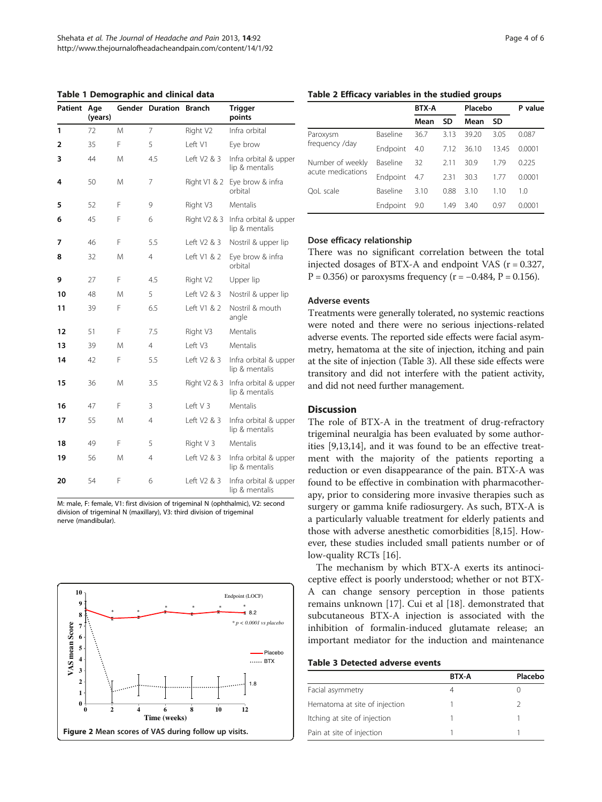<span id="page-3-0"></span>Table 1 Demographic and clinical data

| Patient | Gender Duration Branch<br>Age<br>(years) |   | <b>Trigger</b><br>points |              |                                         |
|---------|------------------------------------------|---|--------------------------|--------------|-----------------------------------------|
| 1       | 72                                       | M | 7                        | Right V2     | Infra orbital                           |
| 2       | 35                                       | F | 5                        | Left V1      | Eye brow                                |
| 3       | 44                                       | M | 4.5                      | Left V2 & 3  | Infra orbital & upper<br>lip & mentalis |
| 4       | 50                                       | M | 7                        | Right V1 & 2 | Eye brow & infra<br>orbital             |
| 5       | 52                                       | F | 9                        | Right V3     | Mentalis                                |
| 6       | 45                                       | F | 6                        | Right V2 & 3 | Infra orbital & upper<br>lip & mentalis |
| 7       | 46                                       | F | 5.5                      | Left V2 & 3  | Nostril & upper lip                     |
| 8       | 32                                       | M | $\overline{4}$           | Left V1 & 2  | Eye brow & infra<br>orbital             |
| 9       | 27                                       | F | 4.5                      | Right V2     | Upper lip                               |
| 10      | 48                                       | M | 5                        | Left V2 & 3  | Nostril & upper lip                     |
| 11      | 39                                       | F | 6.5                      | Left V1 & 2  | Nostril & mouth<br>angle                |
| 12      | 51                                       | F | 7.5                      | Right V3     | Mentalis                                |
| 13      | 39                                       | M | 4                        | I eft V3     | Mentalis                                |
| 14      | 42                                       | F | 5.5                      | Left V2 & 3  | Infra orbital & upper<br>lip & mentalis |
| 15      | 36                                       | M | 3.5                      | Right V2 & 3 | Infra orbital & upper<br>lip & mentalis |
| 16      | 47                                       | F | 3                        | Left V 3     | Mentalis                                |
| 17      | 55                                       | M | 4                        | Left V2 & 3  | Infra orbital & upper<br>lip & mentalis |
| 18      | 49                                       | F | 5                        | Right V 3    | Mentalis                                |
| 19      | 56                                       | M | 4                        | Left V2 & 3  | Infra orbital & upper<br>lip & mentalis |
| 20      | 54                                       | F | 6                        | Left V2 & 3  | Infra orbital & upper<br>lip & mentalis |

M: male, F: female, V1: first division of trigeminal N (ophthalmic), V2: second division of trigeminal N (maxillary), V3: third division of trigeminal nerve (mandibular).



#### Table 2 Efficacy variables in the studied groups

|                   |          | <b>BTX-A</b> |      | Placebo |       | P value |
|-------------------|----------|--------------|------|---------|-------|---------|
|                   |          | Mean         | SD   | Mean    | SD    |         |
| Paroxysm          | Baseline | 36.7         | 313  | 39.20   | 3.05  | 0.087   |
| frequency /day    | Endpoint | 4.0          | 7.12 | 36.10   | 13.45 | 0.0001  |
| Number of weekly  | Baseline | 32           | 2.11 | 309     | 179   | 0.225   |
| acute medications | Endpoint | 4.7          | 2.31 | 30.3    | 1.77  | 0.0001  |
| OoL scale         | Baseline | 310          | 0.88 | 310     | 1.10  | 1.0     |
|                   | Endpoint | 9.0          | 1.49 | 3.40    | 0.97  | 0.0001  |

#### Dose efficacy relationship

There was no significant correlation between the total injected dosages of BTX-A and endpoint VAS  $(r = 0.327,$ P = 0.356) or paroxysms frequency ( $r = -0.484$ ,  $P = 0.156$ ).

## Adverse events

Treatments were generally tolerated, no systemic reactions were noted and there were no serious injections-related adverse events. The reported side effects were facial asymmetry, hematoma at the site of injection, itching and pain at the site of injection (Table 3). All these side effects were transitory and did not interfere with the patient activity, and did not need further management.

# **Discussion**

The role of BTX-A in the treatment of drug-refractory trigeminal neuralgia has been evaluated by some authorities [\[9,13,14\]](#page-4-0), and it was found to be an effective treatment with the majority of the patients reporting a reduction or even disappearance of the pain. BTX-A was found to be effective in combination with pharmacotherapy, prior to considering more invasive therapies such as surgery or gamma knife radiosurgery. As such, BTX-A is a particularly valuable treatment for elderly patients and those with adverse anesthetic comorbidities [\[8,15](#page-4-0)]. However, these studies included small patients number or of low-quality RCTs [[16\]](#page-4-0).

The mechanism by which BTX-A exerts its antinociceptive effect is poorly understood; whether or not BTX-A can change sensory perception in those patients remains unknown [\[17\]](#page-5-0). Cui et al [[18\]](#page-5-0). demonstrated that subcutaneous BTX-A injection is associated with the inhibition of formalin-induced glutamate release; an important mediator for the induction and maintenance

#### Table 3 Detected adverse events

|                               | <b>BTX-A</b> | Placebo |
|-------------------------------|--------------|---------|
| Facial asymmetry              |              |         |
| Hematoma at site of injection |              |         |
| Itching at site of injection  |              |         |
| Pain at site of injection     |              |         |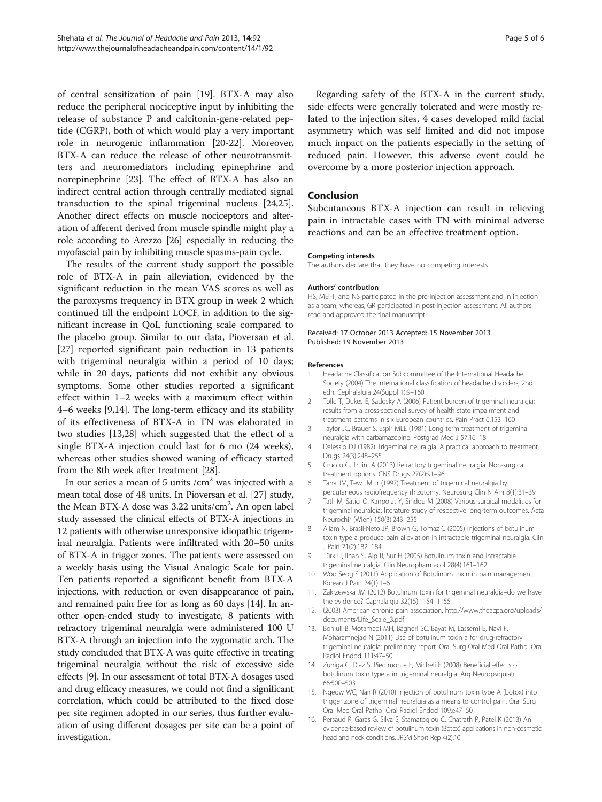<span id="page-4-0"></span>of central sensitization of pain [[19\]](#page-5-0). BTX-A may also reduce the peripheral nociceptive input by inhibiting the release of substance P and calcitonin-gene-related peptide (CGRP), both of which would play a very important role in neurogenic inflammation [\[20](#page-5-0)-[22](#page-5-0)]. Moreover, BTX-A can reduce the release of other neurotransmitters and neuromediators including epinephrine and norepinephrine [\[23](#page-5-0)]. The effect of BTX-A has also an indirect central action through centrally mediated signal transduction to the spinal trigeminal nucleus [\[24,25](#page-5-0)]. Another direct effects on muscle nociceptors and alteration of afferent derived from muscle spindle might play a role according to Arezzo [[26](#page-5-0)] especially in reducing the myofascial pain by inhibiting muscle spasms-pain cycle.

The results of the current study support the possible role of BTX-A in pain alleviation, evidenced by the significant reduction in the mean VAS scores as well as the paroxysms frequency in BTX group in week 2 which continued till the endpoint LOCF, in addition to the significant increase in QoL functioning scale compared to the placebo group. Similar to our data, Pioversan et al. [[27\]](#page-5-0) reported significant pain reduction in 13 patients with trigeminal neuralgia within a period of 10 days; while in 20 days, patients did not exhibit any obvious symptoms. Some other studies reported a significant effect within 1–2 weeks with a maximum effect within 4–6 weeks [9,14]. The long-term efficacy and its stability of its effectiveness of BTX-A in TN was elaborated in two studies [13,[28\]](#page-5-0) which suggested that the effect of a single BTX-A injection could last for 6 mo (24 weeks), whereas other studies showed waning of efficacy started from the 8th week after treatment [[28](#page-5-0)].

In our series a mean of 5 units  $/cm<sup>2</sup>$  was injected with a mean total dose of 48 units. In Pioversan et al. [\[27\]](#page-5-0) study, the Mean BTX-A dose was 3.22 units/cm<sup>2</sup>. An open label study assessed the clinical effects of BTX-A injections in 12 patients with otherwise unresponsive idiopathic trigeminal neuralgia. Patients were infiltrated with 20–50 units of BTX-A in trigger zones. The patients were assessed on a weekly basis using the Visual Analogic Scale for pain. Ten patients reported a significant benefit from BTX-A injections, with reduction or even disappearance of pain, and remained pain free for as long as 60 days [14]. In another open-ended study to investigate, 8 patients with refractory trigeminal neuralgia were administered 100 U BTX-A through an injection into the zygomatic arch. The study concluded that BTX-A was quite effective in treating trigeminal neuralgia without the risk of excessive side effects [9]. In our assessment of total BTX-A dosages used and drug efficacy measures, we could not find a significant correlation, which could be attributed to the fixed dose per site regimen adopted in our series, thus further evaluation of using different dosages per site can be a point of investigation.

Regarding safety of the BTX-A in the current study, side effects were generally tolerated and were mostly related to the injection sites, 4 cases developed mild facial asymmetry which was self limited and did not impose much impact on the patients especially in the setting of reduced pain. However, this adverse event could be overcome by a more posterior injection approach.

#### Conclusion

Subcutaneous BTX-A injection can result in relieving pain in intractable cases with TN with minimal adverse reactions and can be an effective treatment option.

#### Competing interests

The authors declare that they have no competing interests.

#### Authors' contribution

HS, MEl-T, and NS participated in the pre-injection assessment and in injection as a team, whereas, GR participated in post-injection assessment. All authors read and approved the final manuscript.

#### Received: 17 October 2013 Accepted: 15 November 2013 Published: 19 November 2013

#### References

- 1. Headache Classification Subcommittee of the International Headache Society (2004) The international classification of headache disorders, 2nd edn. Cephalalgia 24(Suppl 1):9–160
- 2. Tolle T, Dukes E, Sadosky A (2006) Patient burden of trigeminal neuralgia: results from a cross-sectional survey of health state impairment and treatment patterns in six European countries. Pain Pract 6:153–160
- 3. Taylor JC, Brauer S, Espir MLE (1981) Long term treatment of trigeminal neuralgia with carbamazepine. Postgrad Med J 57:16–18
- 4. Dalessio DJ (1982) Trigeminal neuralgia. A practical approach to treatment. Drugs 24(3):248–255
- 5. Cruccu G, Truini A (2013) Refractory trigeminal neuralgia. Non-surgical treatment options. CNS Drugs 27(2):91–96
- 6. Taha JM, Tew JM Jr (1997) Treatment of trigeminal neuralgia by percutaneous radiofrequency rhizotomy. Neurosurg Clin N Am 8(1):31–39
- 7. Tatli M, Satici O, Kanpolat Y, Sindou M (2008) Various surgical modalities for trigeminal neuralgia: literature study of respective long-term outcomes. Acta Neurochir (Wien) 150(3):243–255
- 8. Allam N, Brasil-Neto JP, Brown G, Tomaz C (2005) Injections of botulinum toxin type a produce pain alleviation in intractable trigeminal neuralgia. Clin J Pain 21(2):182–184
- 9. Türk U, Ilhan S, Alp R, Sur H (2005) Botulinum toxin and intractable trigeminal neuralgia. Clin Neuropharmacol 28(4):161–162
- 10. Woo Seog S (2011) Application of Botulinum toxin in pain management. Korean J Pain 24(1):1–6
- 11. Zakrzewska JM (2012) Botulinum toxin for trigeminal neuralgia–do we have the evidence? Caphalalgia 32(15):1154–1155
- 12. (2003) American chronic pain association. [http://www.theacpa.org/uploads/](http://www.theacpa.org/uploads/documents/Life_Scale_3.pdf) [documents/Life\\_Scale\\_3.pdf](http://www.theacpa.org/uploads/documents/Life_Scale_3.pdf)
- 13. Bohluli B, Motamedi MH, Bagheri SC, Bayat M, Lassemi E, Navi F, Moharamnejad N (2011) Use of botulinum toxin a for drug-refractory trigeminal neuralgia: preliminary report. Oral Surg Oral Med Oral Pathol Oral Radiol Endod 111:47–50
- 14. Zuniga C, Diaz S, Piedimonte F, Micheli F (2008) Beneficial effects of botulinum toxin type a in trigeminal neuralgia. Arq Neuropsiquiatr 66:500–503
- 15. Ngeow WC, Nair R (2010) Injection of botulinum toxin type A (botox) into trigger zone of trigeminal neuralgia as a means to control pain. Oral Surg Oral Med Oral Pathol Oral Radiol Endod 109:e47–50
- 16. Persaud R, Garas G, Silva S, Stamatoglou C, Chatrath P, Patel K (2013) An evidence-based review of botulinum toxin (Botox) applications in non-cosmetic head and neck conditions. JRSM Short Rep 4(2):10